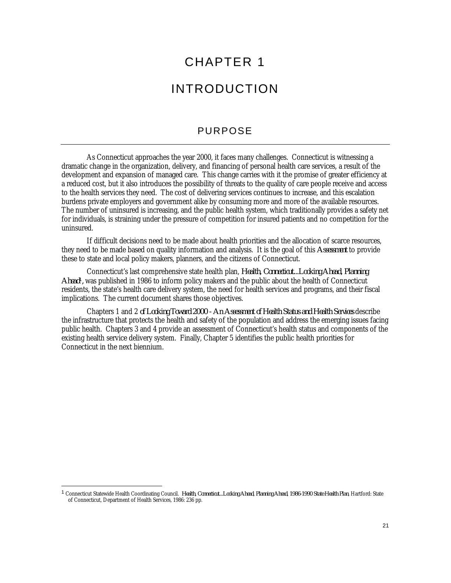# CHAPTER 1

# INTRODUCTION

### PURPOSE

As Connecticut approaches the year 2000, it faces many challenges. Connecticut is witnessing a dramatic change in the organization, delivery, and financing of personal health care services, a result of the development and expansion of managed care. This change carries with it the promise of greater efficiency at a reduced cost, but it also introduces the possibility of threats to the quality of care people receive and access to the health services they need. The cost of delivering services continues to increase, and this escalation burdens private employers and government alike by consuming more and more of the available resources. The number of uninsured is increasing, and the public health system, which traditionally provides a safety net for individuals, is straining under the pressure of competition for insured patients and no competition for the uninsured.

If difficult decisions need to be made about health priorities and the allocation of scarce resources, they need to be made based on quality information and analysis. It is the goal of this *Assessment* to provide these to state and local policy makers, planners, and the citizens of Connecticut.

Connecticut's last comprehensive state health plan, *Health, Connecticut...Looking Ahead, Planning Ahead*<sup>1</sup> *,* was published in 1986 to inform policy makers and the public about the health of Connecticut residents, the state's health care delivery system, the need for health services and programs, and their fiscal implications. The current document shares those objectives.

Chapters 1 and 2 *of Looking Toward 2000 - An Assessment of Health Status and Health Services* describe the infrastructure that protects the health and safety of the population and address the emerging issues facing public health. Chapters 3 and 4 provide an assessment of Connecticut's health status and components of the existing health service delivery system. Finally, Chapter 5 identifies the public health priorities for Connecticut in the next biennium.

<u>.</u>

<sup>1</sup> Connecticut Statewide Health Coordinating Council. *Health, Connecticut...Looking Ahead, Planning Ahead, 1986-1990 State Health Plan*, Hartford: State of Connecticut, Department of Health Services, 1986: 236 pp.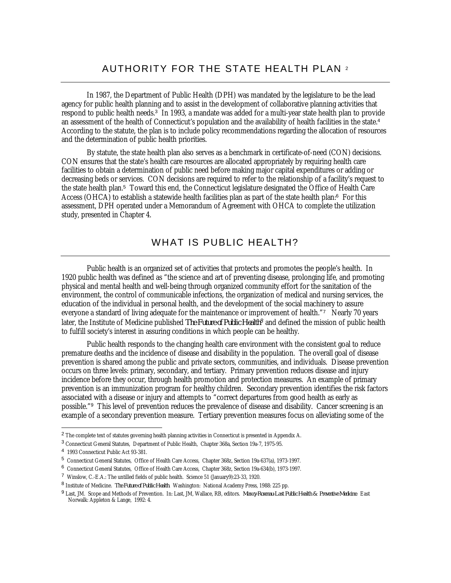## AUTHORITY FOR THE STATE HEALTH PLAN <sup>2</sup>

In 1987, the Department of Public Health (DPH) was mandated by the legislature to be the lead agency for public health planning and to assist in the development of collaborative planning activities that respond to public health needs.<sup>3</sup> In 1993, a mandate was added for a multi-year state health plan to provide an assessment of the health of Connecticut's population and the availability of health facilities in the state.<sup>4</sup> According to the statute, the plan is to include policy recommendations regarding the allocation of resources and the determination of public health priorities.

By statute, the state health plan also serves as a benchmark in certificate-of-need (CON) decisions. CON ensures that the state's health care resources are allocated appropriately by requiring health care facilities to obtain a determination of public need before making major capital expenditures or adding or decreasing beds or services. CON decisions are required to refer to the relationship of a facility's request to the state health plan.<sup>5</sup> Toward this end, the Connecticut legislature designated the Office of Health Care Access (OHCA) to establish a statewide health facilities plan as part of the state health plan:<sup>6</sup> For this assessment, DPH operated under a Memorandum of Agreement with OHCA to complete the utilization study, presented in Chapter 4.

## WHAT IS PUBLIC HEALTH?

Public health is an organized set of activities that protects and promotes the people's health. In 1920 public health was defined as "the science and art of preventing disease, prolonging life, and promoting physical and mental health and well-being through organized community effort for the sanitation of the environment, the control of communicable infections, the organization of medical and nursing services, the education of the individual in personal health, and the development of the social machinery to assure everyone a standard of living adequate for the maintenance or improvement of health."<sup>7</sup> Nearly 70 years later, the Institute of Medicine published *The Future of Public Health8* and defined the mission of public health to fulfill society's interest in assuring conditions in which people can be healthy.

Public health responds to the changing health care environment with the consistent goal to reduce premature deaths and the incidence of disease and disability in the population. The overall goal of disease prevention is shared among the public and private sectors, communities, and individuals. Disease prevention occurs on three levels: primary, secondary, and tertiary. Primary prevention reduces disease and injury incidence before they occur, through health promotion and protection measures. An example of primary prevention is an immunization program for healthy children. Secondary prevention identifies the risk factors associated with a disease or injury and attempts to "correct departures from good health as early as possible."<sup>9</sup> This level of prevention reduces the prevalence of disease and disability. Cancer screening is an example of a secondary prevention measure. Tertiary prevention measures focus on alleviating some of the

<sup>&</sup>lt;sup>2</sup> The complete text of statutes governing health planning activities in Connecticut is presented in Appendix A.

<sup>&</sup>lt;sup>3</sup> Connecticut General Statutes, Department of Public Health, Chapter 368a, Section 19a-7, 1975-95.

<sup>4</sup> 1993 Connecticut Public Act 93-381.

<sup>5</sup> Connecticut General Statutes, Office of Health Care Access, Chapter 368z, Section 19a-637(a), 1973-1997.

<sup>6</sup> Connecticut General Statutes, Office of Health Care Access, Chapter 368z, Section 19a-634(b), 1973-1997.

<sup>7</sup> Winslow, C.-E.A.: The untilled fields of public health. Science 51 (January9):23-33, 1920.

<sup>8</sup> Institute of Medicine. *The Future of Public Health*. Washington: National Academy Press, 1988: 225 pp.

<sup>9</sup> Last, JM. Scope and Methods of Prevention. In: Last, JM, Wallace, RB, editors. *Maxcy-Rosenau-Last Public Health & Preventive Medicine*. East Norwalk: Appleton & Lange, 1992: 4.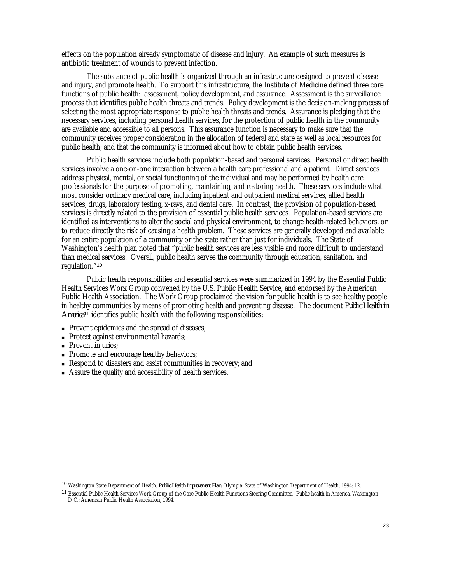effects on the population already symptomatic of disease and injury. An example of such measures is antibiotic treatment of wounds to prevent infection.

The substance of public health is organized through an infrastructure designed to prevent disease and injury, and promote health. To support this infrastructure, the Institute of Medicine defined three core functions of public health: assessment, policy development, and assurance. Assessment is the surveillance process that identifies public health threats and trends. Policy development is the decision-making process of selecting the most appropriate response to public health threats and trends. Assurance is pledging that the necessary services, including personal health services, for the protection of public health in the community are available and accessible to all persons. This assurance function is necessary to make sure that the community receives proper consideration in the allocation of federal and state as well as local resources for public health; and that the community is informed about how to obtain public health services.

Public health services include both population-based and personal services. Personal or direct health services involve a one-on-one interaction between a health care professional and a patient. Direct services address physical, mental, or social functioning of the individual and may be performed by health care professionals for the purpose of promoting, maintaining, and restoring health. These services include what most consider ordinary medical care, including inpatient and outpatient medical services, allied health services, drugs, laboratory testing, x-rays, and dental care. In contrast, the provision of population-based services is directly related to the provision of essential public health services. Population-based services are identified as interventions to alter the social and physical environment, to change health-related behaviors, or to reduce directly the risk of causing a health problem. These services are generally developed and available for an entire population of a community or the state rather than just for individuals. The State of Washington's health plan noted that "public health services are less visible and more difficult to understand than medical services. Overall, public health serves the community through education, sanitation, and regulation."<sup>10</sup>

Public health responsibilities and essential services were summarized in 1994 by the Essential Public Health Services Work Group convened by the U.S. Public Health Service, and endorsed by the American Public Health Association. The Work Group proclaimed the vision for public health is to see healthy people in healthy communities by means of promoting health and preventing disease. The document *Public Health in America*<sup>11</sup> identifies public health with the following responsibilities:

- **Prevent epidemics and the spread of diseases;**
- Protect against environmental hazards;
- Prevent injuries;

- Promote and encourage healthy behaviors;
- <sup>n</sup> Respond to disasters and assist communities in recovery; and
- <sup>n</sup> Assure the quality and accessibility of health services.

<sup>10</sup> Washington State Department of Health. *Public Health Improvement Plan*. Olympia: State of Washington Department of Health, 1994: 12.

<sup>11</sup> Essential Public Health Services Work Group of the Core Public Health Functions Steering Committee. Public health in America. Washington, D.C.: American Public Health Association, 1994.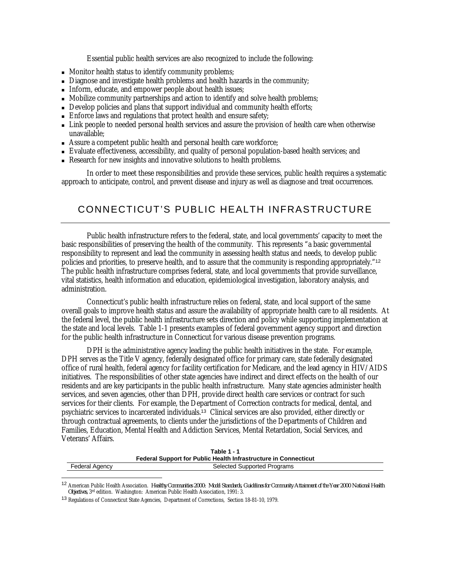Essential public health services are also recognized to include the following:

- Monitor health status to identify community problems;
- Diagnose and investigate health problems and health hazards in the community;
- <sup>n</sup> Inform, educate, and empower people about health issues;
- Mobilize community partnerships and action to identify and solve health problems;
- Develop policies and plans that support individual and community health efforts;
- Enforce laws and regulations that protect health and ensure safety;
- <sup>n</sup> Link people to needed personal health services and assure the provision of health care when otherwise unavailable;
- <sup>n</sup> Assure a competent public health and personal health care workforce;
- <sup>n</sup> Evaluate effectiveness, accessibility, and quality of personal population-based health services; and
- <sup>n</sup> Research for new insights and innovative solutions to health problems.

In order to meet these responsibilities and provide these services, public health requires a systematic approach to anticipate, control, and prevent disease and injury as well as diagnose and treat occurrences.

## CONNECTICUT'S PUBLIC HEALTH INFRASTRUCTURE

Public health infrastructure refers to the federal, state, and local governments' capacity to meet the basic responsibilities of preserving the health of the community. This represents "a basic governmental responsibility to represent and lead the community in assessing health status and needs, to develop public policies and priorities, to preserve health, and to assure that the community is responding appropriately."<sup>12</sup> The public health infrastructure comprises federal, state, and local governments that provide surveillance, vital statistics, health information and education, epidemiological investigation, laboratory analysis, and administration.

Connecticut's public health infrastructure relies on federal, state, and local support of the same overall goals to improve health status and assure the availability of appropriate health care to all residents. At the federal level, the public health infrastructure sets direction and policy while supporting implementation at the state and local levels. Table 1-1 presents examples of federal government agency support and direction for the public health infrastructure in Connecticut for various disease prevention programs.

DPH is the administrative agency leading the public health initiatives in the state. For example, DPH serves as the Title V agency, federally designated office for primary care, state federally designated office of rural health, federal agency for facility certification for Medicare, and the lead agency in HIV/AIDS initiatives. The responsibilities of other state agencies have indirect and direct effects on the health of our residents and are key participants in the public health infrastructure. Many state agencies administer health services, and seven agencies, other than DPH, provide direct health care services or contract for such services for their clients. For example, the Department of Correction contracts for medical, dental, and psychiatric services to incarcerated individuals.<sup>13</sup> Clinical services are also provided, either directly or through contractual agreements, to clients under the jurisdictions of the Departments of Children and Families, Education, Mental Health and Addiction Services, Mental Retardation, Social Services, and Veterans' Affairs.

| Table 1 - 1                                                     |                             |  |  |  |  |
|-----------------------------------------------------------------|-----------------------------|--|--|--|--|
| Federal Support for Public Health Infrastructure in Connecticut |                             |  |  |  |  |
| Federal Agency                                                  | Selected Supported Programs |  |  |  |  |

<sup>12</sup> American Public Health Association. *Healthy Communities 2000: Model Standards, Guidelines for Community Attainment of the Year 2000 National Health Objectives,* 3rd edition. Washington: American Public Health Association, 1991: 3.

<sup>13</sup> Regulations of Connecticut State Agencies, Department of Corrections, Section 18-81-10, 1979.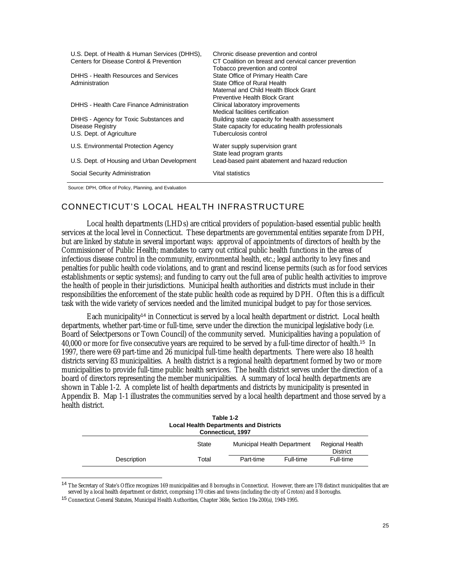| U.S. Dept. of Health & Human Services (DHHS).<br>Centers for Disease Control & Prevention | Chronic disease prevention and control<br>CT Coalition on breast and cervical cancer prevention<br>Tobacco prevention and control             |
|-------------------------------------------------------------------------------------------|-----------------------------------------------------------------------------------------------------------------------------------------------|
| DHHS - Health Resources and Services<br>Administration                                    | State Office of Primary Health Care<br>State Office of Rural Health<br>Maternal and Child Health Block Grant<br>Preventive Health Block Grant |
| DHHS - Health Care Finance Administration                                                 | Clinical laboratory improvements<br>Medical facilities certification                                                                          |
| DHHS - Agency for Toxic Substances and<br>Disease Registry<br>U.S. Dept. of Agriculture   | Building state capacity for health assessment<br>State capacity for educating health professionals<br>Tuberculosis control                    |
| U.S. Environmental Protection Agency                                                      | Water supply supervision grant<br>State lead program grants                                                                                   |
| U.S. Dept. of Housing and Urban Development                                               | Lead-based paint abatement and hazard reduction                                                                                               |
| Social Security Administration                                                            | Vital statistics                                                                                                                              |

Source: DPH, Office of Policy, Planning, and Evaluation

-

### CONNECTICUT'S LOCAL HEALTH INFRASTRUCTURE

Local health departments (LHDs) are critical providers of population-based essential public health services at the local level in Connecticut. These departments are governmental entities separate from DPH, but are linked by statute in several important ways: approval of appointments of directors of health by the Commissioner of Public Health; mandates to carry out critical public health functions in the areas of infectious disease control in the community, environmental health, etc.; legal authority to levy fines and penalties for public health code violations, and to grant and rescind license permits (such as for food services establishments or septic systems); and funding to carry out the full area of public health activities to improve the health of people in their jurisdictions. Municipal health authorities and districts must include in their responsibilities the enforcement of the state public health code as required by DPH. Often this is a difficult task with the wide variety of services needed and the limited municipal budget to pay for those services.

Each municipality<sup>14</sup> in Connecticut is served by a local health department or district. Local health departments, whether part-time or full-time, serve under the direction the municipal legislative body (i.e. Board of Selectpersons or Town Council) of the community served. Municipalities having a population of 40,000 or more for five consecutive years are required to be served by a full-time director of health.<sup>15</sup> In 1997, there were 69 part-time and 26 municipal full-time health departments. There were also 18 health districts serving 83 municipalities. A health district is a regional health department formed by two or more municipalities to provide full-time public health services. The health district serves under the direction of a board of directors representing the member municipalities. A summary of local health departments are shown in Table 1-2. A complete list of health departments and districts by municipality is presented in Appendix B. Map 1-1 illustrates the communities served by a local health department and those served by a health district.

| Table 1-2<br><b>Local Health Departments and Districts</b><br>Connecticut, 1997 |              |                             |           |                                           |  |  |  |  |
|---------------------------------------------------------------------------------|--------------|-----------------------------|-----------|-------------------------------------------|--|--|--|--|
|                                                                                 | <b>State</b> | Municipal Health Department |           | <b>Regional Health</b><br><b>District</b> |  |  |  |  |
| Description                                                                     | Total        | Part-time                   | Full-time | Full-time                                 |  |  |  |  |

<sup>&</sup>lt;sup>14</sup> The Secretary of State's Office recognizes 169 municipalities and 8 boroughs in Connecticut. However, there are 178 distinct municipalities that are served by a local health department or district, comprising 170 cities and towns (including the city of Groton) and 8 boroughs.

<sup>15</sup> Connecticut General Statutes, Municipal Health Authorities, Chapter 368e, Section 19a-200(a), 1949-1995.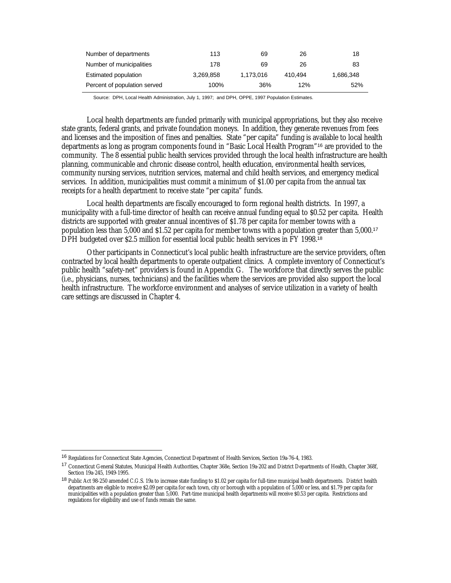| Number of departments        | 113       | 69        | 26      | 18        |
|------------------------------|-----------|-----------|---------|-----------|
| Number of municipalities     | 178       | 69        | 26      | 83        |
| Estimated population         | 3,269,858 | 1,173,016 | 410.494 | 1,686,348 |
| Percent of population served | 100%      | 36%       | 12%     | 52%       |

Source: DPH, Local Health Administration, July 1, 1997; and DPH, OPPE, 1997 Population Estimates.

Local health departments are funded primarily with municipal appropriations, but they also receive state grants, federal grants, and private foundation moneys. In addition, they generate revenues from fees and licenses and the imposition of fines and penalties. State "per capita" funding is available to local health departments as long as program components found in "Basic Local Health Program"<sup>16</sup> are provided to the community. The 8 essential public health services provided through the local health infrastructure are health planning, communicable and chronic disease control, health education, environmental health services, community nursing services, nutrition services, maternal and child health services, and emergency medical services. In addition, municipalities must commit a minimum of \$1.00 per capita from the annual tax receipts for a health department to receive state "per capita" funds.

Local health departments are fiscally encouraged to form regional health districts. In 1997, a municipality with a full-time director of health can receive annual funding equal to \$0.52 per capita. Health districts are supported with greater annual incentives of \$1.78 per capita for member towns with a population less than 5,000 and \$1.52 per capita for member towns with a population greater than 5,000.<sup>17</sup> DPH budgeted over \$2.5 million for essential local public health services in FY 1998.<sup>18</sup>

Other participants in Connecticut's local public health infrastructure are the service providers, often contracted by local health departments to operate outpatient clinics. A complete inventory of Connecticut's public health "safety-net" providers is found in Appendix G. The workforce that directly serves the public (i.e., physicians, nurses, technicians) and the facilities where the services are provided also support the local health infrastructure. The workforce environment and analyses of service utilization in a variety of health care settings are discussed in Chapter 4.

<sup>16</sup> Regulations for Connecticut State Agencies, Connecticut Department of Health Services, Section 19a-76-4, 1983.

<sup>17</sup> Connecticut General Statutes, Municipal Health Authorities, Chapter 368e, Section 19a-202 and District Departments of Health, Chapter 368f, Section 19a-245, 1949-1995.

<sup>18</sup> Public Act 98-250 amended C.G.S. 19a to increase state funding to \$1.02 per capita for full-time municipal health departments. District health departments are eligible to receive \$2.09 per capita for each town, city or borough with a population of 5,000 or less, and \$1.79 per capita for municipalities with a population greater than 5,000. Part-time municipal health departments will receive \$0.53 per capita. Restrictions and regulations for eligibility and use of funds remain the same.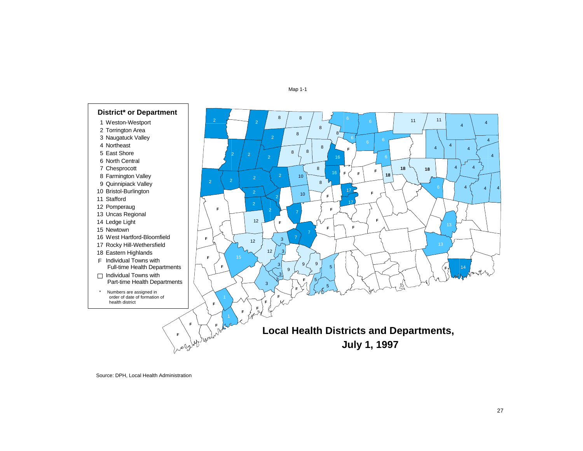#### Map 1-1



Source: DPH, Local Health Administration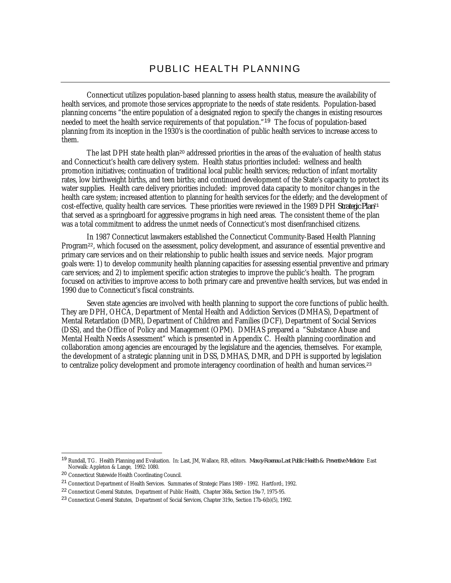### PUBLIC HEALTH PLANNING

Connecticut utilizes population-based planning to assess health status, measure the availability of health services, and promote those services appropriate to the needs of state residents. Population-based planning concerns "the entire population of a designated region to specify the changes in existing resources needed to meet the health service requirements of that population."<sup>19</sup> The focus of population-based planning from its inception in the 1930's is the coordination of public health services to increase access to them.

The last DPH state health plan<sup>20</sup> addressed priorities in the areas of the evaluation of health status and Connecticut's health care delivery system. Health status priorities included: wellness and health promotion initiatives; continuation of traditional local public health services; reduction of infant mortality rates, low birthweight births, and teen births; and continued development of the State's capacity to protect its water supplies. Health care delivery priorities included: improved data capacity to monitor changes in the health care system; increased attention to planning for health services for the elderly; and the development of cost-effective, quality health care services. These priorities were reviewed in the 1989 DPH *Strategic Plan*<sup>21</sup> that served as a springboard for aggressive programs in high need areas. The consistent theme of the plan was a total commitment to address the unmet needs of Connecticut's most disenfranchised citizens.

In 1987 Connecticut lawmakers established the Connecticut Community-Based Health Planning Program<sup>22</sup>, which focused on the assessment, policy development, and assurance of essential preventive and primary care services and on their relationship to public health issues and service needs. Major program goals were: 1) to develop community health planning capacities for assessing essential preventive and primary care services; and 2) to implement specific action strategies to improve the public's health. The program focused on activities to improve access to both primary care and preventive health services, but was ended in 1990 due to Connecticut's fiscal constraints.

Seven state agencies are involved with health planning to support the core functions of public health. They are DPH, OHCA, Department of Mental Health and Addiction Services (DMHAS), Department of Mental Retardation (DMR), Department of Children and Families (DCF), Department of Social Services (DSS), and the Office of Policy and Management (OPM). DMHAS prepared a "Substance Abuse and Mental Health Needs Assessment" which is presented in Appendix C. Health planning coordination and collaboration among agencies are encouraged by the legislature and the agencies, themselves. For example, the development of a strategic planning unit in DSS, DMHAS, DMR, and DPH is supported by legislation to centralize policy development and promote interagency coordination of health and human services.<sup>23</sup>

<sup>19</sup> Rundall, TG. Health Planning and Evaluation. In: Last, JM, Wallace, RB, editors. *Maxcy-Rosenau-Last Public Health & Preventive Medicine*. East Norwalk: Appleton & Lange, 1992: 1080.

<sup>20</sup> Connecticut Statewide Health Coordinating Council.

<sup>21</sup> Connecticut Department of Health Services. Summaries of Strategic Plans 1989 - 1992. Hartford:, 1992.

<sup>22</sup> Connecticut General Statutes, Department of Public Health, Chapter 368a, Section 19a-7, 1975-95.

<sup>23</sup> Connecticut General Statutes, Department of Social Services, Chapter 319o, Section 17b-6(b)(5), 1992.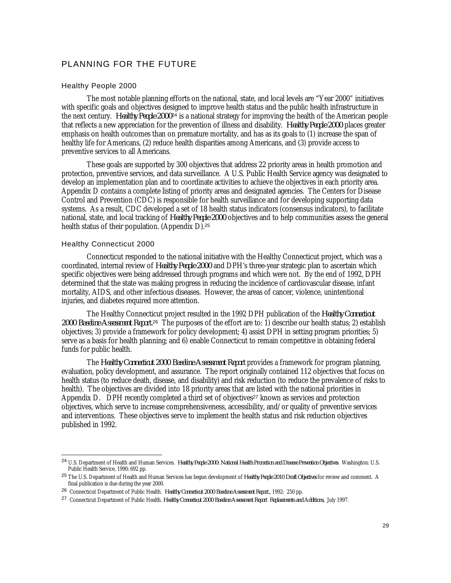### PLANNING FOR THE FUTURE

#### Healthy People 2000

The most notable planning efforts on the national, state, and local levels are "Year 2000" initiatives with specific goals and objectives designed to improve health status and the public health infrastructure in the next century. *Healthy People 2000*<sup>24</sup> is a national strategy for improving the health of the American people that reflects a new appreciation for the prevention of illness and disability. *Healthy People 2000* places greater emphasis on health outcomes than on premature mortality, and has as its goals to (1) increase the span of healthy life for Americans, (2) reduce health disparities among Americans, and (3) provide access to preventive services to all Americans.

These goals are supported by 300 objectives that address 22 priority areas in health promotion and protection, preventive services, and data surveillance. A U.S. Public Health Service agency was designated to develop an implementation plan and to coordinate activities to achieve the objectives in each priority area. Appendix D contains a complete listing of priority areas and designated agencies. The Centers for Disease Control and Prevention (CDC) is responsible for health surveillance and for developing supporting data systems. As a result, CDC developed a set of 18 health status indicators (consensus indicators), to facilitate national, state, and local tracking of *Healthy People 2000* objectives and to help communities assess the general health status of their population. (Appendix D).<sup>25</sup>

#### Healthy Connecticut 2000

-

Connecticut responded to the national initiative with the Healthy Connecticut project, which was a coordinated, internal review of *Healthy People 2000* and DPH's three-year strategic plan to ascertain which specific objectives were being addressed through programs and which were not. By the end of 1992, DPH determined that the state was making progress in reducing the incidence of cardiovascular disease, infant mortality, AIDS, and other infectious diseases. However, the areas of cancer, violence, unintentional injuries, and diabetes required more attention.

The Healthy Connecticut project resulted in the 1992 DPH publication of the *Healthy Connecticut 2000 Baseline Assessment Report.*<sup>26</sup> The purposes of the effort are to: 1) describe our health status; 2) establish objectives; 3) provide a framework for policy development; 4) assist DPH in setting program priorities; 5) serve as a basis for health planning; and 6) enable Connecticut to remain competitive in obtaining federal funds for public health.

The *Healthy Connecticut 2000 Baseline Assessment Report* provides a framework for program planning, evaluation, policy development, and assurance. The report originally contained 112 objectives that focus on health status (to reduce death, disease, and disability) and risk reduction (to reduce the prevalence of risks to health). The objectives are divided into 18 priority areas that are listed with the national priorities in Appendix D. DPH recently completed a third set of objectives<sup>27</sup> known as services and protection objectives, which serve to increase comprehensiveness, accessibility, and/or quality of preventive services and interventions. These objectives serve to implement the health status and risk reduction objectives published in 1992.

<sup>24</sup> U.S. Department of Health and Human Services. *Healthy People 2000: National Health Promotion and Disease Prevention Objectives*. Washington: U.S. Public Health Service, 1990: 692 pp.

<sup>25</sup> The U.S. Department of Health and Human Services has begun development of *Healthy People 2010 Draft Objectives* for review and comment. A final publication is due during the year 2000.

<sup>26</sup> Connecticut Department of Public Health. *Healthy Connecticut 2000 Baseline Assessment Report.*, 1992: 250 pp.

<sup>27</sup> Connecticut Department of Public Health. *Healthy Connecticut 2000 Baseline Assessment Report Replacements and Additions,* July 1997.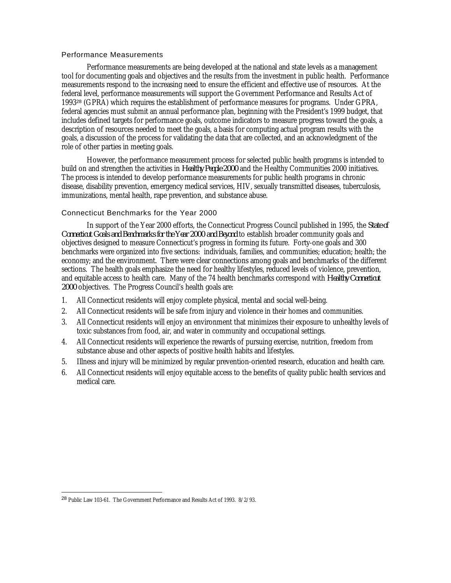### Performance Measurements

Performance measurements are being developed at the national and state levels as a management tool for documenting goals and objectives and the results from the investment in public health. Performance measurements respond to the increasing need to ensure the efficient and effective use of resources. At the federal level, performance measurements will support the Government Performance and Results Act of 1993<sup>28</sup> (GPRA) which requires the establishment of performance measures for programs. Under GPRA, federal agencies must submit an annual performance plan, beginning with the President's 1999 budget, that includes defined targets for performance goals, outcome indicators to measure progress toward the goals, a description of resources needed to meet the goals, a basis for computing actual program results with the goals, a discussion of the process for validating the data that are collected, and an acknowledgment of the role of other parties in meeting goals.

However, the performance measurement process for selected public health programs is intended to build on and strengthen the activities in *Healthy People 2000* and the Healthy Communities 2000 initiatives. The process is intended to develop performance measurements for public health programs in chronic disease, disability prevention, emergency medical services, HIV, sexually transmitted diseases, tuberculosis, immunizations, mental health, rape prevention, and substance abuse.

#### Connecticut Benchmarks for the Year 2000

In support of the Year 2000 efforts, the Connecticut Progress Council published in 1995, the *State of Connecticut Goals and Benchmarks for the Year 2000 and Beyond* to establish broader community goals and objectives designed to measure Connecticut's progress in forming its future. Forty-one goals and 300 benchmarks were organized into five sections: individuals, families, and communities; education; health; the economy; and the environment. There were clear connections among goals and benchmarks of the different sections. The health goals emphasize the need for healthy lifestyles, reduced levels of violence, prevention, and equitable access to health care. Many of the 74 health benchmarks correspond with *Healthy Connecticut 2000* objectives. The Progress Council's health goals are:

- 1. All Connecticut residents will enjoy complete physical, mental and social well-being.
- 2. All Connecticut residents will be safe from injury and violence in their homes and communities.
- 3. All Connecticut residents will enjoy an environment that minimizes their exposure to unhealthy levels of toxic substances from food, air, and water in community and occupational settings.
- 4. All Connecticut residents will experience the rewards of pursuing exercise, nutrition, freedom from substance abuse and other aspects of positive health habits and lifestyles.
- 5. Illness and injury will be minimized by regular prevention-oriented research, education and health care.
- 6. All Connecticut residents will enjoy equitable access to the benefits of quality public health services and medical care.

<u>.</u>

<sup>28</sup> Public Law 103-61. The Government Performance and Results Act of 1993. 8/2/93.